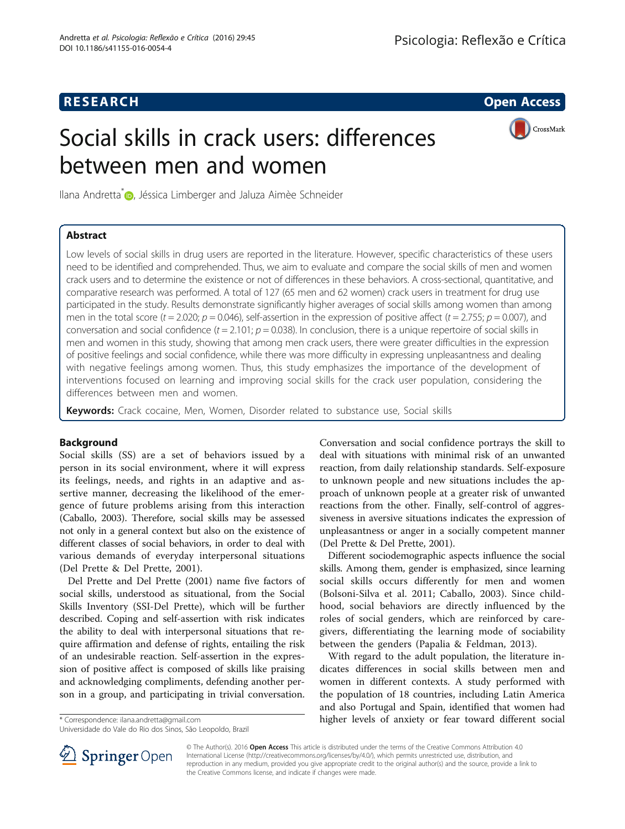# **RESEARCH CHE Open Access**

# Social skills in crack users: differences between men and women



Ilana Andretta<sup>[\\*](http://orcid.org/0000-0002-5537-5120)</sup> , Jéssica Limberger and Jaluza Aimèe Schneider

# Abstract

Low levels of social skills in drug users are reported in the literature. However, specific characteristics of these users need to be identified and comprehended. Thus, we aim to evaluate and compare the social skills of men and women crack users and to determine the existence or not of differences in these behaviors. A cross-sectional, quantitative, and comparative research was performed. A total of 127 (65 men and 62 women) crack users in treatment for drug use participated in the study. Results demonstrate significantly higher averages of social skills among women than among men in the total score (t = 2.020;  $p = 0.046$ ), self-assertion in the expression of positive affect (t = 2.755;  $p = 0.007$ ), and conversation and social confidence  $(t = 2.101; p = 0.038)$ . In conclusion, there is a unique repertoire of social skills in men and women in this study, showing that among men crack users, there were greater difficulties in the expression of positive feelings and social confidence, while there was more difficulty in expressing unpleasantness and dealing with negative feelings among women. Thus, this study emphasizes the importance of the development of interventions focused on learning and improving social skills for the crack user population, considering the differences between men and women.

Keywords: Crack cocaine, Men, Women, Disorder related to substance use, Social skills

## Background

Social skills (SS) are a set of behaviors issued by a person in its social environment, where it will express its feelings, needs, and rights in an adaptive and assertive manner, decreasing the likelihood of the emergence of future problems arising from this interaction (Caballo, [2003\)](#page-6-0). Therefore, social skills may be assessed not only in a general context but also on the existence of different classes of social behaviors, in order to deal with various demands of everyday interpersonal situations (Del Prette & Del Prette, [2001\)](#page-6-0).

Del Prette and Del Prette ([2001](#page-6-0)) name five factors of social skills, understood as situational, from the Social Skills Inventory (SSI-Del Prette), which will be further described. Coping and self-assertion with risk indicates the ability to deal with interpersonal situations that require affirmation and defense of rights, entailing the risk of an undesirable reaction. Self-assertion in the expression of positive affect is composed of skills like praising and acknowledging compliments, defending another person in a group, and participating in trivial conversation.

Universidade do Vale do Rio dos Sinos, São Leopoldo, Brazil

Conversation and social confidence portrays the skill to deal with situations with minimal risk of an unwanted reaction, from daily relationship standards. Self-exposure to unknown people and new situations includes the approach of unknown people at a greater risk of unwanted reactions from the other. Finally, self-control of aggressiveness in aversive situations indicates the expression of unpleasantness or anger in a socially competent manner (Del Prette & Del Prette, [2001](#page-6-0)).

Different sociodemographic aspects influence the social skills. Among them, gender is emphasized, since learning social skills occurs differently for men and women (Bolsoni-Silva et al. [2011;](#page-6-0) Caballo, [2003\)](#page-6-0). Since childhood, social behaviors are directly influenced by the roles of social genders, which are reinforced by caregivers, differentiating the learning mode of sociability between the genders (Papalia & Feldman, [2013](#page-6-0)).

With regard to the adult population, the literature indicates differences in social skills between men and women in different contexts. A study performed with the population of 18 countries, including Latin America and also Portugal and Spain, identified that women had \* Correspondence: [ilana.andretta@gmail.com](mailto:ilana.andretta@gmail.com) higher levels of anxiety or fear toward different social



© The Author(s). 2016 Open Access This article is distributed under the terms of the Creative Commons Attribution 4.0 International License ([http://creativecommons.org/licenses/by/4.0/\)](http://creativecommons.org/licenses/by/4.0/), which permits unrestricted use, distribution, and reproduction in any medium, provided you give appropriate credit to the original author(s) and the source, provide a link to the Creative Commons license, and indicate if changes were made.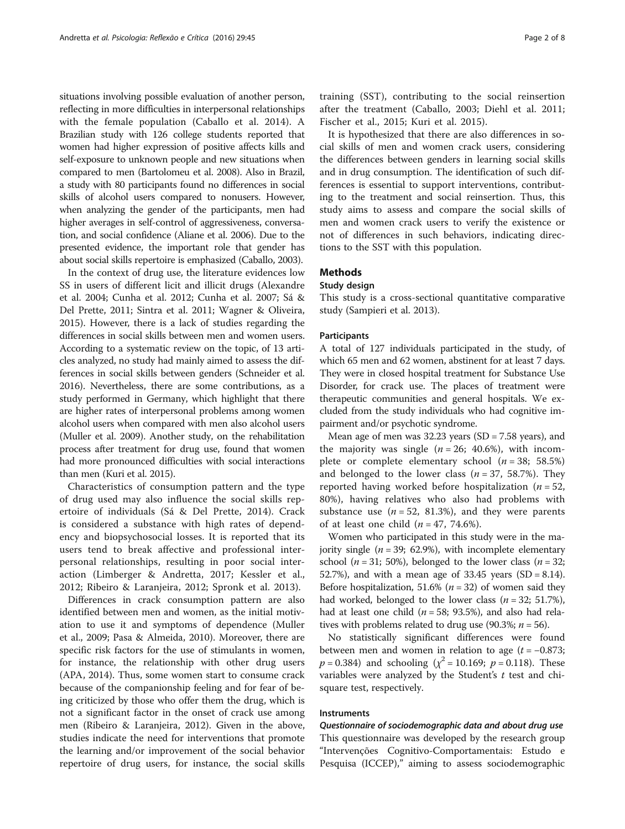situations involving possible evaluation of another person, reflecting in more difficulties in interpersonal relationships with the female population (Caballo et al. [2014](#page-6-0)). A Brazilian study with 126 college students reported that women had higher expression of positive affects kills and self-exposure to unknown people and new situations when compared to men (Bartolomeu et al. [2008\)](#page-6-0). Also in Brazil, a study with 80 participants found no differences in social skills of alcohol users compared to nonusers. However, when analyzing the gender of the participants, men had higher averages in self-control of aggressiveness, conversation, and social confidence (Aliane et al. [2006\)](#page-6-0). Due to the presented evidence, the important role that gender has about social skills repertoire is emphasized (Caballo, [2003\)](#page-6-0).

In the context of drug use, the literature evidences low SS in users of different licit and illicit drugs (Alexandre et al. [2004;](#page-6-0) Cunha et al. [2012](#page-6-0); Cunha et al. [2007;](#page-6-0) Sá & Del Prette, [2011;](#page-6-0) Sintra et al. [2011;](#page-7-0) Wagner & Oliveira, [2015](#page-7-0)). However, there is a lack of studies regarding the differences in social skills between men and women users. According to a systematic review on the topic, of 13 articles analyzed, no study had mainly aimed to assess the differences in social skills between genders (Schneider et al. [2016\)](#page-7-0). Nevertheless, there are some contributions, as a study performed in Germany, which highlight that there are higher rates of interpersonal problems among women alcohol users when compared with men also alcohol users (Muller et al. [2009\)](#page-6-0). Another study, on the rehabilitation process after treatment for drug use, found that women had more pronounced difficulties with social interactions than men (Kuri et al. [2015\)](#page-6-0).

Characteristics of consumption pattern and the type of drug used may also influence the social skills repertoire of individuals (Sá & Del Prette, [2014](#page-7-0)). Crack is considered a substance with high rates of dependency and biopsychosocial losses. It is reported that its users tend to break affective and professional interpersonal relationships, resulting in poor social interaction (Limberger & Andretta, [2017](#page-6-0); Kessler et al., [2012;](#page-6-0) Ribeiro & Laranjeira, [2012](#page-6-0); Spronk et al. [2013](#page-7-0)).

Differences in crack consumption pattern are also identified between men and women, as the initial motivation to use it and symptoms of dependence (Muller et al., [2009](#page-6-0); Pasa & Almeida, [2010\)](#page-6-0). Moreover, there are specific risk factors for the use of stimulants in women, for instance, the relationship with other drug users (APA, [2014\)](#page-6-0). Thus, some women start to consume crack because of the companionship feeling and for fear of being criticized by those who offer them the drug, which is not a significant factor in the onset of crack use among men (Ribeiro & Laranjeira, [2012](#page-6-0)). Given in the above, studies indicate the need for interventions that promote the learning and/or improvement of the social behavior repertoire of drug users, for instance, the social skills

training (SST), contributing to the social reinsertion after the treatment (Caballo, [2003;](#page-6-0) Diehl et al. [2011](#page-6-0); Fischer et al., [2015;](#page-6-0) Kuri et al. [2015](#page-6-0)).

It is hypothesized that there are also differences in social skills of men and women crack users, considering the differences between genders in learning social skills and in drug consumption. The identification of such differences is essential to support interventions, contributing to the treatment and social reinsertion. Thus, this study aims to assess and compare the social skills of men and women crack users to verify the existence or not of differences in such behaviors, indicating directions to the SST with this population.

### **Methods**

#### Study design

This study is a cross-sectional quantitative comparative study (Sampieri et al. [2013\)](#page-7-0).

#### Participants

A total of 127 individuals participated in the study, of which 65 men and 62 women, abstinent for at least 7 days. They were in closed hospital treatment for Substance Use Disorder, for crack use. The places of treatment were therapeutic communities and general hospitals. We excluded from the study individuals who had cognitive impairment and/or psychotic syndrome.

Mean age of men was  $32.23$  years (SD = 7.58 years), and the majority was single  $(n = 26; 40.6\%)$ , with incomplete or complete elementary school  $(n = 38; 58.5%)$ and belonged to the lower class ( $n = 37$ , 58.7%). They reported having worked before hospitalization ( $n = 52$ , 80%), having relatives who also had problems with substance use  $(n = 52, 81.3%)$ , and they were parents of at least one child  $(n = 47, 74.6\%)$ .

Women who participated in this study were in the majority single ( $n = 39$ ; 62.9%), with incomplete elementary school ( $n = 31$ ; 50%), belonged to the lower class ( $n = 32$ ; 52.7%), and with a mean age of  $33.45$  years (SD = 8.14). Before hospitalization, 51.6% ( $n = 32$ ) of women said they had worked, belonged to the lower class  $(n = 32; 51.7\%)$ , had at least one child ( $n = 58$ ; 93.5%), and also had relatives with problems related to drug use (90.3%;  $n = 56$ ).

No statistically significant differences were found between men and women in relation to age  $(t = -0.873)$ ;  $p = 0.384$ ) and schooling ( $\chi^2 = 10.169$ ;  $p = 0.118$ ). These variables were analyzed by the Student's  $t$  test and chisquare test, respectively.

#### **Instruments**

Questionnaire of sociodemographic data and about drug use This questionnaire was developed by the research group "Intervenções Cognitivo-Comportamentais: Estudo e Pesquisa (ICCEP)," aiming to assess sociodemographic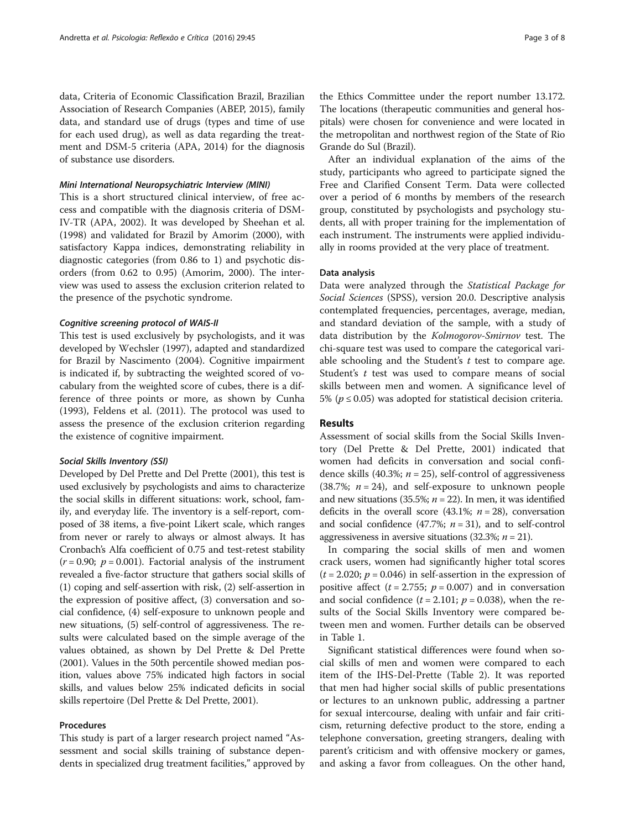data, Criteria of Economic Classification Brazil, Brazilian Association of Research Companies (ABEP, [2015](#page-6-0)), family data, and standard use of drugs (types and time of use for each used drug), as well as data regarding the treatment and DSM-5 criteria (APA, [2014](#page-6-0)) for the diagnosis of substance use disorders.

#### Mini International Neuropsychiatric Interview (MINI)

This is a short structured clinical interview, of free access and compatible with the diagnosis criteria of DSM-IV-TR (APA, [2002](#page-6-0)). It was developed by Sheehan et al. ([1998](#page-7-0)) and validated for Brazil by Amorim ([2000](#page-6-0)), with satisfactory Kappa indices, demonstrating reliability in diagnostic categories (from 0.86 to 1) and psychotic disorders (from 0.62 to 0.95) (Amorim, [2000](#page-6-0)). The interview was used to assess the exclusion criterion related to the presence of the psychotic syndrome.

#### Cognitive screening protocol of WAIS-II

This test is used exclusively by psychologists, and it was developed by Wechsler ([1997\)](#page-7-0), adapted and standardized for Brazil by Nascimento [\(2004\)](#page-6-0). Cognitive impairment is indicated if, by subtracting the weighted scored of vocabulary from the weighted score of cubes, there is a difference of three points or more, as shown by Cunha ([1993](#page-6-0)), Feldens et al. [\(2011\)](#page-6-0). The protocol was used to assess the presence of the exclusion criterion regarding the existence of cognitive impairment.

#### Social Skills Inventory (SSI)

Developed by Del Prette and Del Prette [\(2001\)](#page-6-0), this test is used exclusively by psychologists and aims to characterize the social skills in different situations: work, school, family, and everyday life. The inventory is a self-report, composed of 38 items, a five-point Likert scale, which ranges from never or rarely to always or almost always. It has Cronbach's Alfa coefficient of 0.75 and test-retest stability  $(r = 0.90; p = 0.001)$ . Factorial analysis of the instrument revealed a five-factor structure that gathers social skills of (1) coping and self-assertion with risk, (2) self-assertion in the expression of positive affect, (3) conversation and social confidence, (4) self-exposure to unknown people and new situations, (5) self-control of aggressiveness. The results were calculated based on the simple average of the values obtained, as shown by Del Prette & Del Prette ([2001](#page-6-0)). Values in the 50th percentile showed median position, values above 75% indicated high factors in social skills, and values below 25% indicated deficits in social skills repertoire (Del Prette & Del Prette, [2001\)](#page-6-0).

#### Procedures

This study is part of a larger research project named "Assessment and social skills training of substance dependents in specialized drug treatment facilities," approved by the Ethics Committee under the report number 13.172. The locations (therapeutic communities and general hospitals) were chosen for convenience and were located in the metropolitan and northwest region of the State of Rio Grande do Sul (Brazil).

After an individual explanation of the aims of the study, participants who agreed to participate signed the Free and Clarified Consent Term. Data were collected over a period of 6 months by members of the research group, constituted by psychologists and psychology students, all with proper training for the implementation of each instrument. The instruments were applied individually in rooms provided at the very place of treatment.

#### Data analysis

Data were analyzed through the Statistical Package for Social Sciences (SPSS), version 20.0. Descriptive analysis contemplated frequencies, percentages, average, median, and standard deviation of the sample, with a study of data distribution by the Kolmogorov-Smirnov test. The chi-square test was used to compare the categorical variable schooling and the Student's  $t$  test to compare age. Student's  $t$  test was used to compare means of social skills between men and women. A significance level of 5% ( $p \le 0.05$ ) was adopted for statistical decision criteria.

#### Results

Assessment of social skills from the Social Skills Inventory (Del Prette & Del Prette, [2001](#page-6-0)) indicated that women had deficits in conversation and social confidence skills (40.3%;  $n = 25$ ), self-control of aggressiveness (38.7%;  $n = 24$ ), and self-exposure to unknown people and new situations (35.5%;  $n = 22$ ). In men, it was identified deficits in the overall score (43.1%;  $n = 28$ ), conversation and social confidence (47.7%;  $n = 31$ ), and to self-control aggressiveness in aversive situations (32.3%;  $n = 21$ ).

In comparing the social skills of men and women crack users, women had significantly higher total scores  $(t = 2.020; p = 0.046)$  in self-assertion in the expression of positive affect ( $t = 2.755$ ;  $p = 0.007$ ) and in conversation and social confidence  $(t = 2.101; p = 0.038)$ , when the results of the Social Skills Inventory were compared between men and women. Further details can be observed in Table [1.](#page-3-0)

Significant statistical differences were found when social skills of men and women were compared to each item of the IHS-Del-Prette (Table [2](#page-4-0)). It was reported that men had higher social skills of public presentations or lectures to an unknown public, addressing a partner for sexual intercourse, dealing with unfair and fair criticism, returning defective product to the store, ending a telephone conversation, greeting strangers, dealing with parent's criticism and with offensive mockery or games, and asking a favor from colleagues. On the other hand,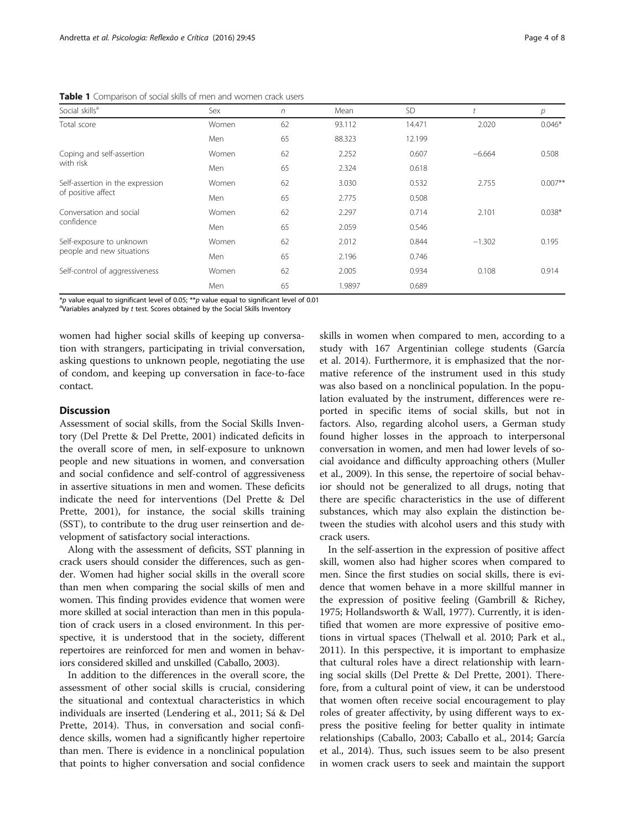<span id="page-3-0"></span>Table 1 Comparison of social skills of men and women crack users

| Social skills <sup>a</sup>                             | Sex   | $\sqrt{n}$ | Mean   | <b>SD</b> | t        | р         |
|--------------------------------------------------------|-------|------------|--------|-----------|----------|-----------|
| Total score                                            | Women | 62         | 93.112 | 14.471    | 2.020    | $0.046*$  |
|                                                        | Men   | 65         | 88.323 | 12.199    |          |           |
| Coping and self-assertion<br>with risk                 | Women | 62         | 2.252  | 0.607     | $-6.664$ | 0.508     |
|                                                        | Men   | 65         | 2.324  | 0.618     |          |           |
| Self-assertion in the expression<br>of positive affect | Women | 62         | 3.030  | 0.532     | 2.755    | $0.007**$ |
|                                                        | Men   | 65         | 2.775  | 0.508     |          |           |
| Conversation and social<br>confidence                  | Women | 62         | 2.297  | 0.714     | 2.101    | $0.038*$  |
|                                                        | Men   | 65         | 2.059  | 0.546     |          |           |
| Self-exposure to unknown<br>people and new situations  | Women | 62         | 2.012  | 0.844     | $-1.302$ | 0.195     |
|                                                        | Men   | 65         | 2.196  | 0.746     |          |           |
| Self-control of aggressiveness                         | Women | 62         | 2.005  | 0.934     | 0.108    | 0.914     |
|                                                        | Men   | 65         | 1.9897 | 0.689     |          |           |

\*p value equal to significant level of 0.05; \*\*p value equal to significant level of 0.01

<sup>a</sup>Variables analyzed by t test. Scores obtained by the Social Skills Inventory

women had higher social skills of keeping up conversation with strangers, participating in trivial conversation, asking questions to unknown people, negotiating the use of condom, and keeping up conversation in face-to-face contact.

#### **Discussion**

Assessment of social skills, from the Social Skills Inventory (Del Prette & Del Prette, [2001\)](#page-6-0) indicated deficits in the overall score of men, in self-exposure to unknown people and new situations in women, and conversation and social confidence and self-control of aggressiveness in assertive situations in men and women. These deficits indicate the need for interventions (Del Prette & Del Prette, [2001\)](#page-6-0), for instance, the social skills training (SST), to contribute to the drug user reinsertion and development of satisfactory social interactions.

Along with the assessment of deficits, SST planning in crack users should consider the differences, such as gender. Women had higher social skills in the overall score than men when comparing the social skills of men and women. This finding provides evidence that women were more skilled at social interaction than men in this population of crack users in a closed environment. In this perspective, it is understood that in the society, different repertoires are reinforced for men and women in behaviors considered skilled and unskilled (Caballo, [2003](#page-6-0)).

In addition to the differences in the overall score, the assessment of other social skills is crucial, considering the situational and contextual characteristics in which individuals are inserted (Lendering et al., [2011](#page-6-0); Sá & Del Prette, [2014](#page-7-0)). Thus, in conversation and social confidence skills, women had a significantly higher repertoire than men. There is evidence in a nonclinical population that points to higher conversation and social confidence

skills in women when compared to men, according to a study with 167 Argentinian college students (García et al. [2014](#page-6-0)). Furthermore, it is emphasized that the normative reference of the instrument used in this study was also based on a nonclinical population. In the population evaluated by the instrument, differences were reported in specific items of social skills, but not in factors. Also, regarding alcohol users, a German study found higher losses in the approach to interpersonal conversation in women, and men had lower levels of social avoidance and difficulty approaching others (Muller et al., [2009](#page-6-0)). In this sense, the repertoire of social behavior should not be generalized to all drugs, noting that there are specific characteristics in the use of different substances, which may also explain the distinction between the studies with alcohol users and this study with crack users.

In the self-assertion in the expression of positive affect skill, women also had higher scores when compared to men. Since the first studies on social skills, there is evidence that women behave in a more skillful manner in the expression of positive feeling (Gambrill & Richey, [1975](#page-6-0); Hollandsworth & Wall, [1977](#page-6-0)). Currently, it is identified that women are more expressive of positive emotions in virtual spaces (Thelwall et al. [2010](#page-7-0); Park et al., [2011](#page-6-0)). In this perspective, it is important to emphasize that cultural roles have a direct relationship with learning social skills (Del Prette & Del Prette, [2001](#page-6-0)). Therefore, from a cultural point of view, it can be understood that women often receive social encouragement to play roles of greater affectivity, by using different ways to express the positive feeling for better quality in intimate relationships (Caballo, [2003;](#page-6-0) Caballo et al., [2014](#page-6-0); García et al., [2014](#page-6-0)). Thus, such issues seem to be also present in women crack users to seek and maintain the support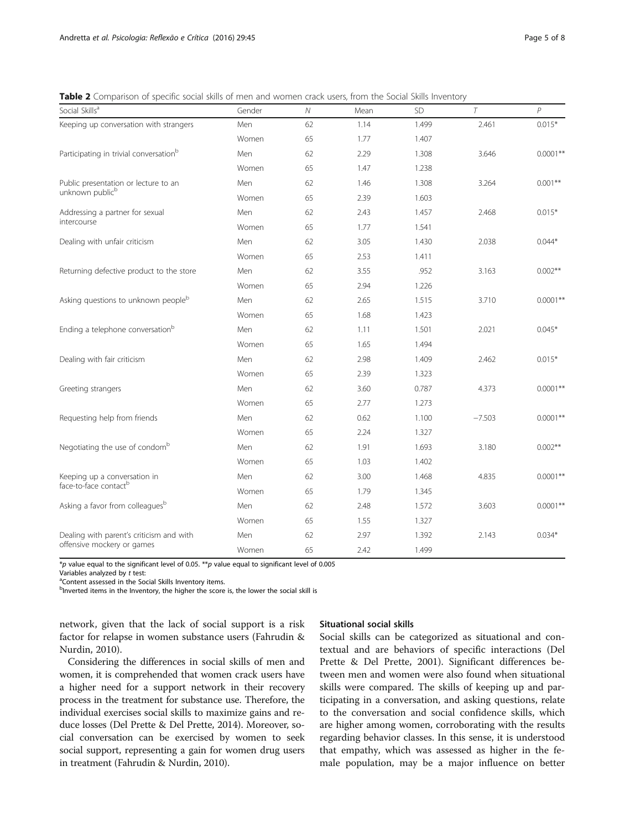<span id="page-4-0"></span>Table 2 Comparison of specific social skills of men and women crack users, from the Social Skills Inventory

| Social Skills <sup>a</sup>                                             | Gender | ${\cal N}$ | Mean | SD    | $\tau$   | $\overline{P}$ |
|------------------------------------------------------------------------|--------|------------|------|-------|----------|----------------|
| Keeping up conversation with strangers                                 | Men    | 62         | 1.14 | 1.499 | 2.461    | $0.015*$       |
|                                                                        | Women  | 65         | 1.77 | 1.407 |          |                |
| Participating in trivial conversation <sup>b</sup>                     | Men    | 62         | 2.29 | 1.308 | 3.646    | $0.0001**$     |
|                                                                        | Women  | 65         | 1.47 | 1.238 |          |                |
| Public presentation or lecture to an<br>unknown public <sup>b</sup>    | Men    | 62         | 1.46 | 1.308 | 3.264    | $0.001***$     |
|                                                                        | Women  | 65         | 2.39 | 1.603 |          |                |
| Addressing a partner for sexual<br>intercourse                         | Men    | 62         | 2.43 | 1.457 | 2.468    | $0.015*$       |
|                                                                        | Women  | 65         | 1.77 | 1.541 |          |                |
| Dealing with unfair criticism                                          | Men    | 62         | 3.05 | 1.430 | 2.038    | $0.044*$       |
|                                                                        | Women  | 65         | 2.53 | 1.411 |          |                |
| Returning defective product to the store                               | Men    | 62         | 3.55 | .952  | 3.163    | $0.002**$      |
|                                                                        | Women  | 65         | 2.94 | 1.226 |          |                |
| Asking questions to unknown people <sup>b</sup>                        | Men    | 62         | 2.65 | 1.515 | 3.710    | $0.0001**$     |
|                                                                        | Women  | 65         | 1.68 | 1.423 |          |                |
| Ending a telephone conversation <sup>b</sup>                           | Men    | 62         | 1.11 | 1.501 | 2.021    | $0.045*$       |
|                                                                        | Women  | 65         | 1.65 | 1.494 |          |                |
| Dealing with fair criticism                                            | Men    | 62         | 2.98 | 1.409 | 2.462    | $0.015*$       |
|                                                                        | Women  | 65         | 2.39 | 1.323 |          |                |
| Greeting strangers                                                     | Men    | 62         | 3.60 | 0.787 | 4.373    | $0.0001**$     |
|                                                                        | Women  | 65         | 2.77 | 1.273 |          |                |
| Requesting help from friends                                           | Men    | 62         | 0.62 | 1.100 | $-7.503$ | $0.0001**$     |
|                                                                        | Women  | 65         | 2.24 | 1.327 |          |                |
| Negotiating the use of condom <sup>b</sup>                             | Men    | 62         | 1.91 | 1.693 | 3.180    | $0.002**$      |
|                                                                        | Women  | 65         | 1.03 | 1.402 |          |                |
| Keeping up a conversation in<br>face-to-face contact <sup>b</sup>      | Men    | 62         | 3.00 | 1.468 | 4.835    | $0.0001**$     |
|                                                                        | Women  | 65         | 1.79 | 1.345 |          |                |
| Asking a favor from colleagues <sup>b</sup>                            | Men    | 62         | 2.48 | 1.572 | 3.603    | $0.0001**$     |
|                                                                        | Women  | 65         | 1.55 | 1.327 |          |                |
| Dealing with parent's criticism and with<br>offensive mockery or games | Men    | 62         | 2.97 | 1.392 | 2.143    | $0.034*$       |
|                                                                        | Women  | 65         | 2.42 | 1.499 |          |                |

\*p value equal to the significant level of 0.05. \*\*p value equal to significant level of 0.005

Variables analyzed by  $t$  test:

<sup>a</sup>Content assessed in the Social Skills Inventory items.

<sup>b</sup>Inverted items in the Inventory, the higher the score is, the lower the social skill is

network, given that the lack of social support is a risk factor for relapse in women substance users (Fahrudin & Nurdin, [2010](#page-6-0)).

# Considering the differences in social skills of men and women, it is comprehended that women crack users have a higher need for a support network in their recovery process in the treatment for substance use. Therefore, the individual exercises social skills to maximize gains and reduce losses (Del Prette & Del Prette, [2014](#page-6-0)). Moreover, social conversation can be exercised by women to seek social support, representing a gain for women drug users in treatment (Fahrudin & Nurdin, [2010\)](#page-6-0).

#### Situational social skills

Social skills can be categorized as situational and contextual and are behaviors of specific interactions (Del Prette & Del Prette, [2001](#page-6-0)). Significant differences between men and women were also found when situational skills were compared. The skills of keeping up and participating in a conversation, and asking questions, relate to the conversation and social confidence skills, which are higher among women, corroborating with the results regarding behavior classes. In this sense, it is understood that empathy, which was assessed as higher in the female population, may be a major influence on better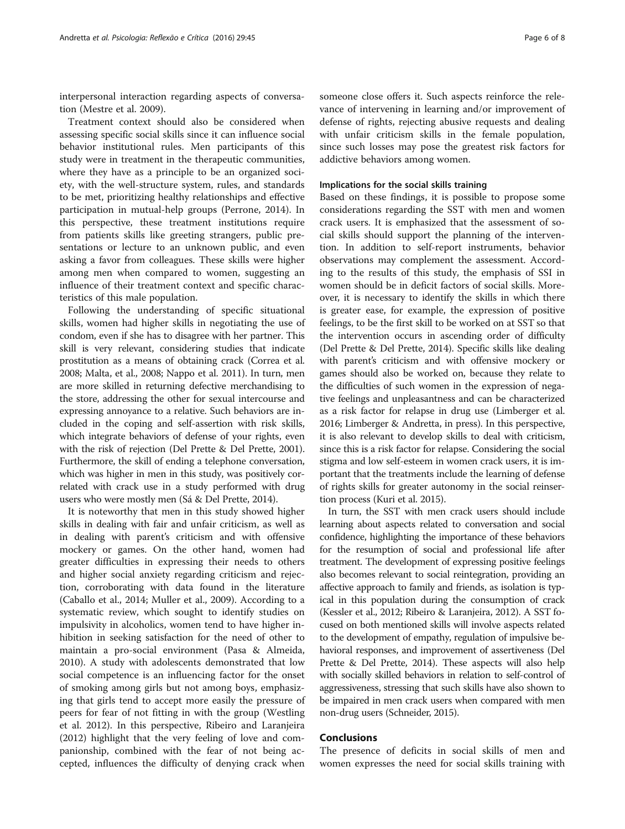interpersonal interaction regarding aspects of conversation (Mestre et al. [2009\)](#page-6-0).

Treatment context should also be considered when assessing specific social skills since it can influence social behavior institutional rules. Men participants of this study were in treatment in the therapeutic communities, where they have as a principle to be an organized society, with the well-structure system, rules, and standards to be met, prioritizing healthy relationships and effective participation in mutual-help groups (Perrone, [2014](#page-6-0)). In this perspective, these treatment institutions require from patients skills like greeting strangers, public presentations or lecture to an unknown public, and even asking a favor from colleagues. These skills were higher among men when compared to women, suggesting an influence of their treatment context and specific characteristics of this male population.

Following the understanding of specific situational skills, women had higher skills in negotiating the use of condom, even if she has to disagree with her partner. This skill is very relevant, considering studies that indicate prostitution as a means of obtaining crack (Correa et al. [2008;](#page-6-0) Malta, et al., [2008](#page-6-0); Nappo et al. [2011](#page-6-0)). In turn, men are more skilled in returning defective merchandising to the store, addressing the other for sexual intercourse and expressing annoyance to a relative. Such behaviors are included in the coping and self-assertion with risk skills, which integrate behaviors of defense of your rights, even with the risk of rejection (Del Prette & Del Prette, [2001](#page-6-0)). Furthermore, the skill of ending a telephone conversation, which was higher in men in this study, was positively correlated with crack use in a study performed with drug users who were mostly men (Sá & Del Prette, [2014\)](#page-7-0).

It is noteworthy that men in this study showed higher skills in dealing with fair and unfair criticism, as well as in dealing with parent's criticism and with offensive mockery or games. On the other hand, women had greater difficulties in expressing their needs to others and higher social anxiety regarding criticism and rejection, corroborating with data found in the literature (Caballo et al., [2014;](#page-6-0) Muller et al., [2009](#page-6-0)). According to a systematic review, which sought to identify studies on impulsivity in alcoholics, women tend to have higher inhibition in seeking satisfaction for the need of other to maintain a pro-social environment (Pasa & Almeida, [2010](#page-6-0)). A study with adolescents demonstrated that low social competence is an influencing factor for the onset of smoking among girls but not among boys, emphasizing that girls tend to accept more easily the pressure of peers for fear of not fitting in with the group (Westling et al. [2012\)](#page-7-0). In this perspective, Ribeiro and Laranjeira ([2012](#page-6-0)) highlight that the very feeling of love and companionship, combined with the fear of not being accepted, influences the difficulty of denying crack when someone close offers it. Such aspects reinforce the relevance of intervening in learning and/or improvement of defense of rights, rejecting abusive requests and dealing with unfair criticism skills in the female population, since such losses may pose the greatest risk factors for addictive behaviors among women.

#### Implications for the social skills training

Based on these findings, it is possible to propose some considerations regarding the SST with men and women crack users. It is emphasized that the assessment of social skills should support the planning of the intervention. In addition to self-report instruments, behavior observations may complement the assessment. According to the results of this study, the emphasis of SSI in women should be in deficit factors of social skills. Moreover, it is necessary to identify the skills in which there is greater ease, for example, the expression of positive feelings, to be the first skill to be worked on at SST so that the intervention occurs in ascending order of difficulty (Del Prette & Del Prette, [2014](#page-6-0)). Specific skills like dealing with parent's criticism and with offensive mockery or games should also be worked on, because they relate to the difficulties of such women in the expression of negative feelings and unpleasantness and can be characterized as a risk factor for relapse in drug use (Limberger et al. [2016](#page-6-0); Limberger & Andretta, [in press](#page-6-0)). In this perspective, it is also relevant to develop skills to deal with criticism, since this is a risk factor for relapse. Considering the social stigma and low self-esteem in women crack users, it is important that the treatments include the learning of defense of rights skills for greater autonomy in the social reinsertion process (Kuri et al. [2015\)](#page-6-0).

In turn, the SST with men crack users should include learning about aspects related to conversation and social confidence, highlighting the importance of these behaviors for the resumption of social and professional life after treatment. The development of expressing positive feelings also becomes relevant to social reintegration, providing an affective approach to family and friends, as isolation is typical in this population during the consumption of crack (Kessler et al., [2012](#page-6-0); Ribeiro & Laranjeira, [2012](#page-6-0)). A SST focused on both mentioned skills will involve aspects related to the development of empathy, regulation of impulsive behavioral responses, and improvement of assertiveness (Del Prette & Del Prette, [2014](#page-6-0)). These aspects will also help with socially skilled behaviors in relation to self-control of aggressiveness, stressing that such skills have also shown to be impaired in men crack users when compared with men non-drug users (Schneider, [2015\)](#page-7-0).

#### Conclusions

The presence of deficits in social skills of men and women expresses the need for social skills training with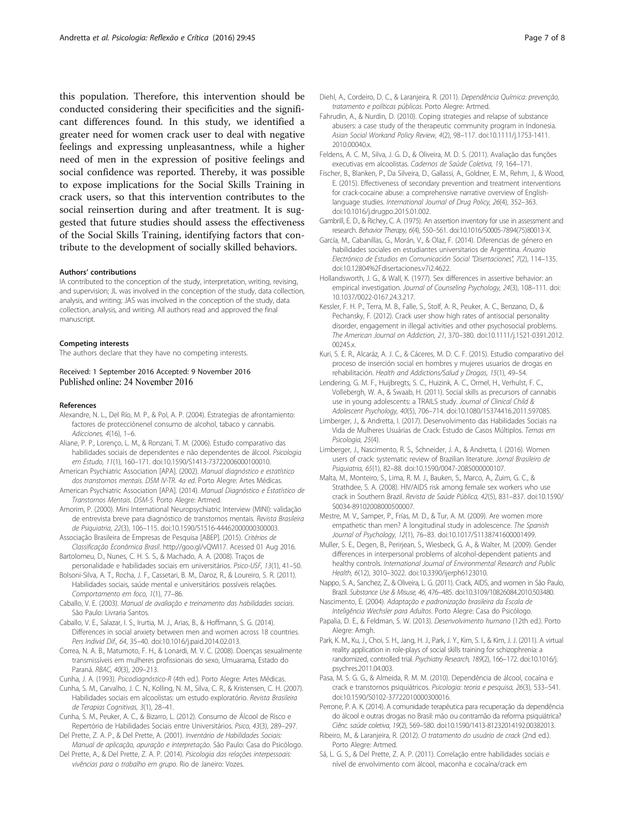<span id="page-6-0"></span>this population. Therefore, this intervention should be conducted considering their specificities and the significant differences found. In this study, we identified a greater need for women crack user to deal with negative feelings and expressing unpleasantness, while a higher need of men in the expression of positive feelings and social confidence was reported. Thereby, it was possible to expose implications for the Social Skills Training in crack users, so that this intervention contributes to the social reinsertion during and after treatment. It is suggested that future studies should assess the effectiveness of the Social Skills Training, identifying factors that contribute to the development of socially skilled behaviors.

#### Authors' contributions

IA contributed to the conception of the study, interpretation, writing, revising, and supervision; JL was involved in the conception of the study, data collection, analysis, and writing; JAS was involved in the conception of the study, data collection, analysis, and writing. All authors read and approved the final manuscript.

#### Competing interests

The authors declare that they have no competing interests.

# Received: 1 September 2016 Accepted: 9 November 2016

#### References

- Alexandre, N. L., Del Río, M. P., & Pol, A. P. (2004). Estrategias de afrontamiento: factores de protecciónenel consumo de alcohol, tabaco y cannabis. Adicciones, 4(16), 1–6.
- Aliane, P. P., Lorenço, L. M., & Ronzani, T. M. (2006). Estudo comparativo das habilidades sociais de dependentes e não dependentes de álcool. Psicologia em Estudo, 11(1), 160–171. doi:[10.1590/S1413-73722006000100010.](http://dx.doi.org/10.1590/S1413-73722006000100010)
- American Psychiatric Association [APA]. (2002). Manual diagnóstico e estatístico dos transtornos mentais. DSM IV-TR. 4a ed. Porto Alegre: Artes Médicas.
- American Psychiatric Association [APA]. (2014). Manual Diagnóstico e Estatístico de Transtornos Mentais. DSM-5. Porto Alegre: Artmed.
- Amorim, P. (2000). Mini International Neuropsychiatric Interview (MINI): validação de entrevista breve para diagnóstico de transtornos mentais. Revista Brasileira de Psiquiatria, 22(3), 106–115. doi:[10.1590/S1516-44462000000300003.](http://dx.doi.org/10.1590/S1516-44462000000300003)
- Associação Brasileira de Empresas de Pesquisa [ABEP]. (2015). Critérios de Classificação Econômica Brasil. [http://goo.gl/vQWI17.](http://goo.gl/vQWI17) Acessed 01 Aug 2016. Bartolomeu, D., Nunes, C. H. S. S., & Machado, A. A. (2008). Traços de
- personalidade e habilidades sociais em universitários. Psico-USF, 13(1), 41–50. Bolsoni-Silva, A. T., Rocha, J. F., Cassetari, B. M., Daroz, R., & Loureiro, S. R. (2011).
- Habilidades sociais, saúde mental e universitários: possíveis relações. Comportamento em foco, 1(1), 77–86.
- Caballo, V. E. (2003). Manual de avaliação e treinamento das habilidades sociais. São Paulo: Livraria Santos.
- Caballo, V. E., Salazar, I. S., Irurtia, M. J., Arias, B., & Hoffmann, S. G. (2014). Differences in social anxiety between men and women across 18 countries. Pers Individ Dif., 64, 35–40. doi:[10.1016/j.paid.2014.02.013](http://dx.doi.org/10.1016/j.paid.2014.02.013).
- Correa, N. A. B., Matumoto, F. H., & Lonardi, M. V. C. (2008). Doenças sexualmente transmissíveis em mulheres profissionais do sexo, Umuarama, Estado do Paraná. RBAC, 40(3), 209–213.
- Cunha, J. A. (1993). Psicodiagnóstico-R (4th ed.). Porto Alegre: Artes Médicas.
- Cunha, S. M., Carvalho, J. C. N., Kolling, N. M., Silva, C. R., & Kristensen, C. H. (2007). Habilidades sociais em alcoolistas: um estudo exploratório. Revista Brasileira de Terapias Cognitivas, 3(1), 28–41.
- Cunha, S. M., Peuker, A. C., & Bizarro, L. (2012). Consumo de Álcool de Risco e Repertório de Habilidades Sociais entre Universitários. Psico, 43(3), 289–297. Del Prette, Z. A. P., & Del Prette, A. (2001). Inventário de Habilidades Sociais:
- Manual de aplicação, apuração e interpretação. São Paulo: Casa do Psicólogo. Del Prette, A., & Del Prette, Z. A. P. (2014). Psicologia das relações interpessoais:
- vivências para o trabalho em grupo. Rio de Janeiro: Vozes.
- Diehl, A., Cordeiro, D. C., & Laranjeira, R. (2011). Dependência Química: prevenção, tratamento e políticas públicas. Porto Alegre: Artmed.
- Fahrudin, A., & Nurdin, D. (2010). Coping strategies and relapse of substance abusers: a case study of the therapeutic community program in Indonesia. Asian Social Workand Policy Review, 4(2), 98–117. doi[:10.1111/j.1753-1411.](http://dx.doi.org/10.1111/j.1753-1411.2010.00040.x) [2010.00040.x.](http://dx.doi.org/10.1111/j.1753-1411.2010.00040.x)
- Feldens, A. C. M., Silva, J. G. D., & Oliveira, M. D. S. (2011). Avaliação das funções executivas em alcoolistas. Cadernos de Saúde Coletiva, 19, 164–171.
- Fischer, B., Blanken, P., Da Silveira, D., Gallassi, A., Goldner, E. M., Rehm, J., & Wood, E. (2015). Effectiveness of secondary prevention and treatment interventions for crack-cocaine abuse: a comprehensive narrative overview of Englishlanguage studies. International Journal of Drug Policy, 26(4), 352–363. doi[:10.1016/j.drugpo.2015.01.002](http://dx.doi.org/10.1016/j.drugpo.2015.01.002).
- Gambrill, E. D., & Richey, C. A. (1975). An assertion inventory for use in assessment and research. Behavior Therapy, 6(4), 550–561. doi[:10.1016/S0005-7894\(75\)80013-X](http://dx.doi.org/10.1016/S0005-7894(75)80013-X).
- García, M., Cabanillas, G., Morán, V., & Olaz, F. (2014). Diferencias de género en habilidades sociales en estudiantes universitarios de Argentina. Anuario Electrónico de Estudios en Comunicación Social "Disertaciones", 7(2), 114–135. doi[:10.12804%2Fdisertaciones.v7i2.4622](http://dx.doi.org/10.12804/disertaciones.v7i2.4622).
- Hollandsworth, J. G., & Wall, K. (1977). Sex differences in assertive behavior: an empirical investigation. Journal of Counseling Psychology, 24(3), 108–111. doi: [10.1037/0022-0167.24.3.217](http://dx.doi.org/10.1037/0022-0167.24.3.217).
- Kessler, F. H. P., Terra, M. B., Falle, S., Stolf, A. R., Peuker, A. C., Benzano, D., & Pechansky, F. (2012). Crack user show high rates of antisocial personality disorder, engagement in illegal activities and other psychosocial problems. The American Journal on Addiction, 21, 370–380. doi:[10.1111/j.1521-0391.2012.](http://dx.doi.org/10.1111/j.1521-0391.2012.00245.x) [00245.x](http://dx.doi.org/10.1111/j.1521-0391.2012.00245.x).
- Kuri, S. E. R., Alcaráz, A. J. C., & Cáceres, M. D. C. F. (2015). Estudio comparativo del proceso de inserción social en hombres y mujeres usuarios de drogas en rehabilitación. Health and Addictions/Salud y Drogas, 15(1), 49–54.
- Lendering, G. M. F., Huijbregts, S. C., Huizink, A. C., Ormel, H., Verhulst, F. C., Vollebergh, W. A., & Swaab, H. (2011). Social skills as precursors of cannabis use in young adolescents: a TRAILS study. Journal of Clinical Child & Adolescent Psychology, 40(5), 706–714. doi[:10.1080/15374416.2011.597085](http://dx.doi.org/10.1080/15374416.2011.597085).
- Limberger, J., & Andretta, I. (2017). Desenvolvimento das Habilidades Sociais na Vida de Mulheres Usuárias de Crack: Estudo de Casos Múltiplos. Temas em Psicologia, 25(4).
- Limberger, J., Nascimento, R. S., Schneider, J. A., & Andretta, I. (2016). Women users of crack: systematic review of Brazilian literature. Jornal Brasileiro de Psiquiatria, 65(1), 82–88. doi[:10.1590/0047-2085000000107](http://dx.doi.org/10.1590/0047-2085000000107).
- Malta, M., Monteiro, S., Lima, R. M. J., Bauken, S., Marco, A., Zuim, G. C., & Strathdee, S. A. (2008). HIV/AIDS risk among female sex workers who use crack in Southern Brazil. Revista de Saúde Pública, 42(5), 831–837. doi[:10.1590/](http://dx.doi.org/10.1590/S0034-89102008000500007) [S0034-89102008000500007.](http://dx.doi.org/10.1590/S0034-89102008000500007)
- Mestre, M. V., Samper, P., Frías, M. D., & Tur, A. M. (2009). Are women more empathetic than men? A longitudinal study in adolescence. The Spanish Journal of Psychology, 12(1), 76–83. doi:[10.1017/S1138741600001499.](http://dx.doi.org/10.1017/S1138741600001499)
- Muller, S. E., Degen, B., Perirjean, S., Wiesbeck, G. A., & Walter, M. (2009). Gender differences in interpersonal problems of alcohol-dependent patients and healthy controls. International Journal of Environmental Research and Public Health, 6(12), 3010–3022. doi:[10.3390/ijerph6123010.](http://dx.doi.org/10.3390/ijerph6123010)
- Nappo, S. A., Sanchez, Z., & Oliveira, L. G. (2011). Crack, AIDS, and women in São Paulo, Brazil. Substance Use & Misuse, 46, 476–485. doi:[10.3109/10826084.2010.503480](http://dx.doi.org/10.3109/10826084.2010.503480).
- Nascimento, E. (2004). Adaptação e padronização brasileira da Escala de Inteligência Wechsler para Adultos. Porto Alegre: Casa do Psicólogo.
- Papalia, D. E., & Feldman, S. W. (2013). Desenvolvimento humano (12th ed.). Porto Alegre: Amgh.
- Park, K. M., Ku, J., Choi, S. H., Jang, H. J., Park, J. Y., Kim, S. I., & Kim, J. J. (2011). A virtual reality application in role-plays of social skills training for schizophrenia: a randomized, controlled trial. Psychiatry Research, 189(2), 166–172. doi:[10.1016/j.](http://dx.doi.org/10.1016/j.psychres.2011.04.003) [psychres.2011.04.003.](http://dx.doi.org/10.1016/j.psychres.2011.04.003)
- Pasa, M. S. G. G., & Almeida, R. M. M. (2010). Dependência de álcool, cocaína e crack e transtornos psiquiátricos. Psicologia: teoria e pesquisa, 26(3), 533–541. doi[:10.1590/S0102-37722010000300016](http://dx.doi.org/10.1590/S0102-37722010000300016).
- Perrone, P. A. K. (2014). A comunidade terapêutica para recuperação da dependência do álcool e outras drogas no Brasil: mão ou contramão da reforma psiquiátrica? Ciênc. saúde coletiva, 19(2), 569–580. doi[:10.1590/1413-81232014192.00382013](http://dx.doi.org/10.1590/1413-81232014192.00382013).
- Ribeiro, M., & Laranjeira, R. (2012). O tratamento do usuário de crack (2nd ed.). Porto Alegre: Artmed.
- Sá, L. G. S., & Del Prette, Z. A. P. (2011). Correlação entre habilidades sociais e nível de envolvimento com álcool, maconha e cocaína/crack em